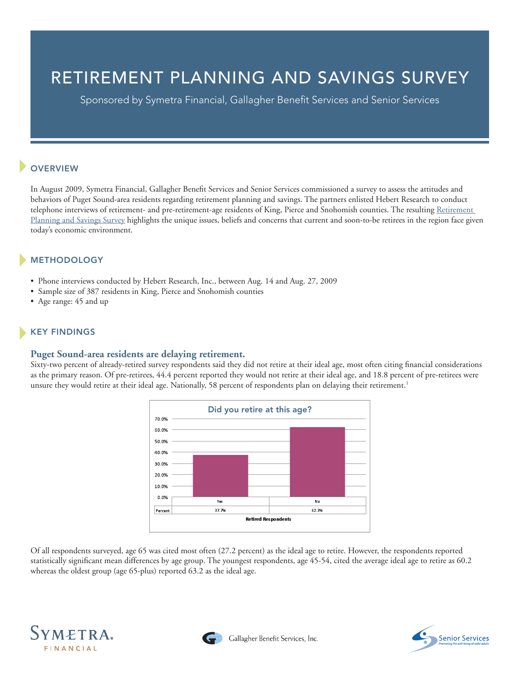# RETIREMENT PLANNING AND SAVINGS SURVEY

Sponsored by Symetra Financial, Gallagher Benefit Services and Senior Services

# **OVERVIEW**

In August 2009, Symetra Financial, Gallagher Benefit Services and Senior Services commissioned a survey to assess the attitudes and behaviors of Puget Sound-area residents regarding retirement planning and savings. The partners enlisted Hebert Research to conduct telephone interviews of retirement- and pre-retirement-age residents of King, Pierce and Snohomish counties. The resulting Retirement [Planning and Savings Survey](http://media.symetra.com/images/20011/hebertResearchReport.pdf) highlights the unique issues, beliefs and concerns that current and soon-to-be retirees in the region face given today's economic environment.

# METHODOLOGY

- Phone interviews conducted by Hebert Research, Inc., between Aug. 14 and Aug. 27, 2009
- Sample size of 387 residents in King, Pierce and Snohomish counties
- Age range: 45 and up

## KEY FINDINGS

### **Puget Sound-area residents are delaying retirement.**

Sixty-two percent of already-retired survey respondents said they did not retire at their ideal age, most often citing financial considerations as the primary reason. Of pre-retirees, 44.4 percent reported they would not retire at their ideal age, and 18.8 percent of pre-retirees were unsure they would retire at their ideal age. Nationally, 58 percent of respondents plan on delaying their retirement.<sup>1</sup>



Of all respondents surveyed, age 65 was cited most often (27.2 percent) as the ideal age to retire. However, the respondents reported statistically significant mean differences by age group. The youngest respondents, age 45-54, cited the average ideal age to retire as 60.2 whereas the oldest group (age 65-plus) reported 63.2 as the ideal age.





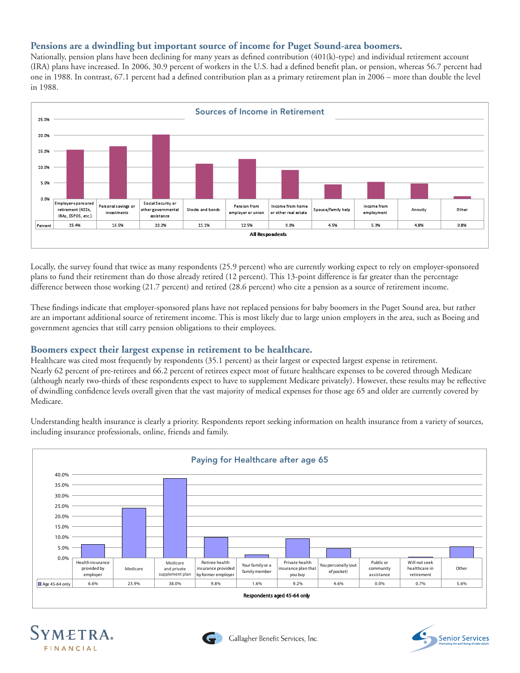## **Pensions are a dwindling but important source of income for Puget Sound-area boomers.**

Nationally, pension plans have been declining for many years as defined contribution (401(k)-type) and individual retirement account (IRA) plans have increased. In 2006, 30.9 percent of workers in the U.S. had a defined benefit plan, or pension, whereas 56.7 percent had one in 1988. In contrast, 67.1 percent had a defined contribution plan as a primary retirement plan in 2006 – more than double the level in 1988.



Locally, the survey found that twice as many respondents (25.9 percent) who are currently working expect to rely on employer-sponsored plans to fund their retirement than do those already retired (12 percent). This 13-point difference is far greater than the percentage difference between those working (21.7 percent) and retired (28.6 percent) who cite a pension as a source of retirement income.

These findings indicate that employer-sponsored plans have not replaced pensions for baby boomers in the Puget Sound area, but rather are an important additional source of retirement income. This is most likely due to large union employers in the area, such as Boeing and government agencies that still carry pension obligations to their employees.

### **Boomers expect their largest expense in retirement to be healthcare.**

Healthcare was cited most frequently by respondents (35.1 percent) as their largest or expected largest expense in retirement. Nearly 62 percent of pre-retirees and 66.2 percent of retirees expect most of future healthcare expenses to be covered through Medicare (although nearly two-thirds of these respondents expect to have to supplement Medicare privately). However, these results may be reflective of dwindling confidence levels overall given that the vast majority of medical expenses for those age 65 and older are currently covered by Medicare.

Understanding health insurance is clearly a priority. Respondents report seeking information on health insurance from a variety of sources, including insurance professionals, online, friends and family.







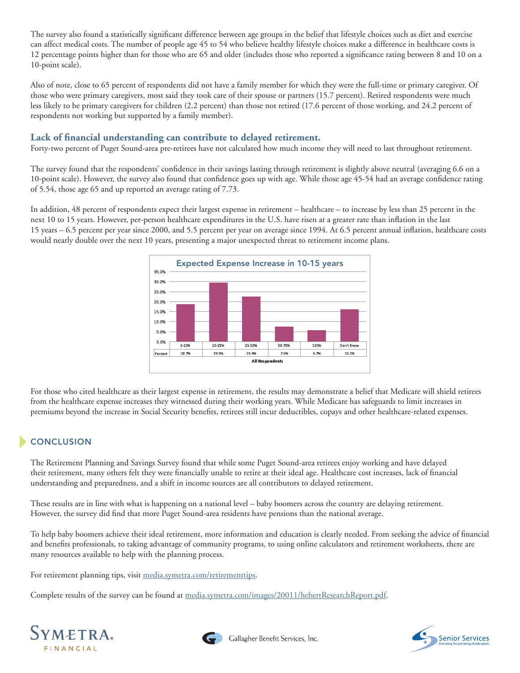The survey also found a statistically significant difference between age groups in the belief that lifestyle choices such as diet and exercise can affect medical costs. The number of people age 45 to 54 who believe healthy lifestyle choices make a difference in healthcare costs is 12 percentage points higher than for those who are 65 and older (includes those who reported a significance rating between 8 and 10 on a 10-point scale).

Also of note, close to 65 percent of respondents did not have a family member for which they were the full-time or primary caregiver. Of those who were primary caregivers, most said they took care of their spouse or partners (15.7 percent). Retired respondents were much less likely to be primary caregivers for children (2.2 percent) than those not retired (17.6 percent of those working, and 24.2 percent of respondents not working but supported by a family member).

## **Lack of financial understanding can contribute to delayed retirement.**

Forty-two percent of Puget Sound-area pre-retirees have not calculated how much income they will need to last throughout retirement.

The survey found that the respondents' confidence in their savings lasting through retirement is slightly above neutral (averaging 6.6 on a 10-point scale). However, the survey also found that confidence goes up with age. While those age 45-54 had an average confidence rating of 5.54, those age 65 and up reported an average rating of 7.73.

In addition, 48 percent of respondents expect their largest expense in retirement – healthcare – to increase by less than 25 percent in the next 10 to 15 years. However, per-person healthcare expenditures in the U.S. have risen at a greater rate than inflation in the last 15 years – 6.5 percent per year since 2000, and 5.5 percent per year on average since 1994. At 6.5 percent annual inflation, healthcare costs would nearly double over the next 10 years, presenting a major unexpected threat to retirement income plans.



For those who cited healthcare as their largest expense in retirement, the results may demonstrate a belief that Medicare will shield retirees from the healthcare expense increases they witnessed during their working years. While Medicare has safeguards to limit increases in premiums beyond the increase in Social Security benefits, retirees still incur deductibles, copays and other healthcare-related expenses.

## **CONCLUSION**

The Retirement Planning and Savings Survey found that while some Puget Sound-area retirees enjoy working and have delayed their retirement, many others felt they were financially unable to retire at their ideal age. Healthcare cost increases, lack of financial understanding and preparedness, and a shift in income sources are all contributors to delayed retirement.

These results are in line with what is happening on a national level – baby boomers across the country are delaying retirement. However, the survey did find that more Puget Sound-area residents have pensions than the national average.

To help baby boomers achieve their ideal retirement, more information and education is clearly needed. From seeking the advice of financial and benefits professionals, to taking advantage of community programs, to using online calculators and retirement worksheets, there are many resources available to help with the planning process.

For retirement planning tips, visit [media.symetra.com/retirementtips.](http://media.symetra.com/retirementtips)

Complete results of the survey can be found at [media.symetra.com/images/20011/hebertResearchReport.pdf](http://media.symetra.com/images/20011/hebertResearchReport.pdf).